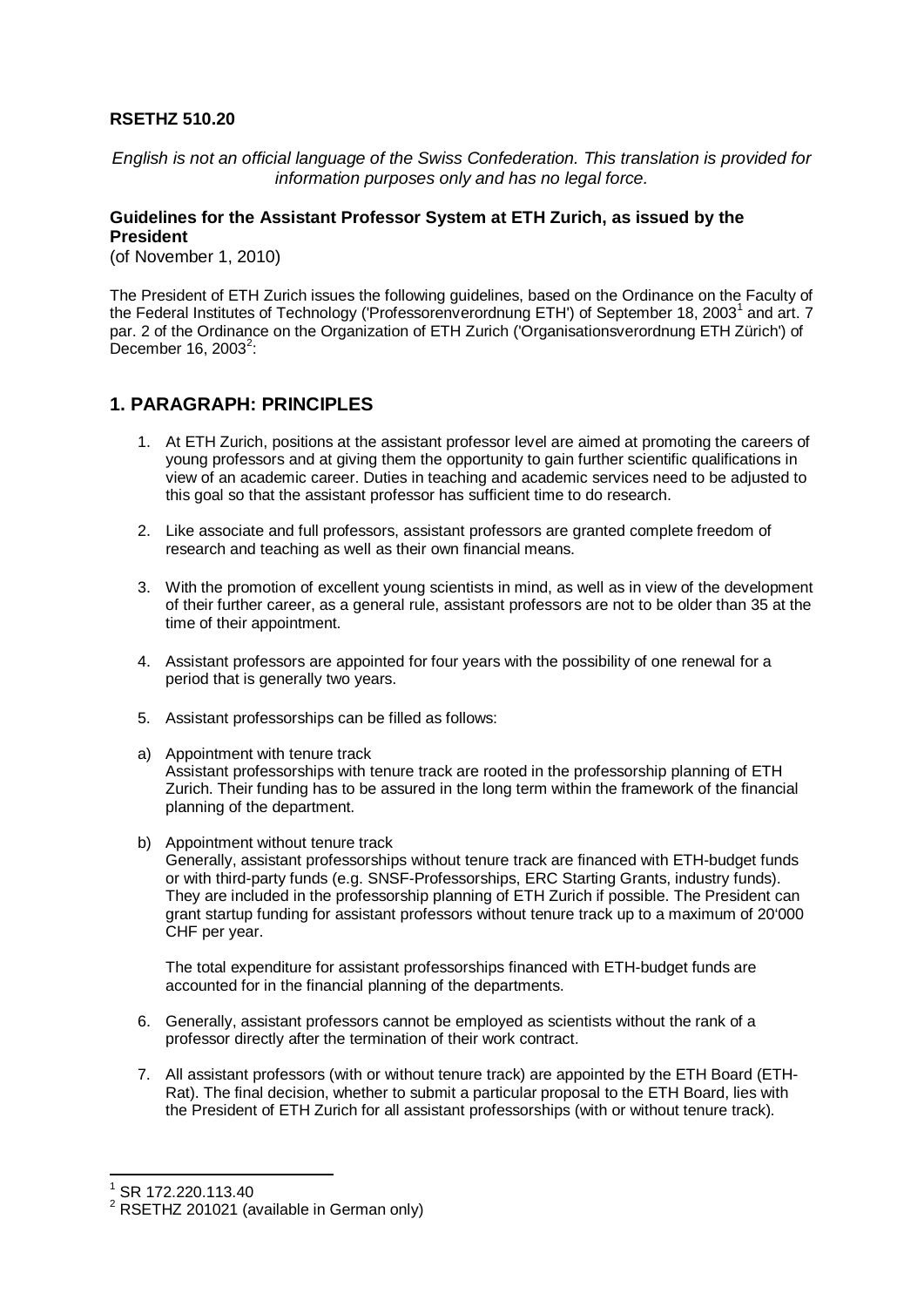#### **RSETHZ 510.20**

*English is not an official language of the Swiss Confederation. This translation is provided for information purposes only and has no legal force.*

#### **Guidelines for the Assistant Professor System at ETH Zurich, as issued by the President**

(of November 1, 2010)

The President of ETH Zurich issues the following guidelines, based on the Ordinance on the Faculty of the Federal Institutes of Technology ('Professorenverordnung ETH') of September [1](#page-0-0)8, 2003<sup>1</sup> and art. 7 par. 2 of the Ordinance on the Organization of ETH Zurich ('Organisationsverordnung ETH Zürich') of December 16, [2](#page-0-1)003 $2$ :

## **1. PARAGRAPH: PRINCIPLES**

- 1. At ETH Zurich, positions at the assistant professor level are aimed at promoting the careers of young professors and at giving them the opportunity to gain further scientific qualifications in view of an academic career. Duties in teaching and academic services need to be adjusted to this goal so that the assistant professor has sufficient time to do research.
- 2. Like associate and full professors, assistant professors are granted complete freedom of research and teaching as well as their own financial means.
- 3. With the promotion of excellent young scientists in mind, as well as in view of the development of their further career, as a general rule, assistant professors are not to be older than 35 at the time of their appointment.
- 4. Assistant professors are appointed for four years with the possibility of one renewal for a period that is generally two years.
- 5. Assistant professorships can be filled as follows:
- a) Appointment with tenure track Assistant professorships with tenure track are rooted in the professorship planning of ETH Zurich. Their funding has to be assured in the long term within the framework of the financial planning of the department.
- b) Appointment without tenure track

Generally, assistant professorships without tenure track are financed with ETH-budget funds or with third-party funds (e.g. SNSF-Professorships, ERC Starting Grants, industry funds). They are included in the professorship planning of ETH Zurich if possible. The President can grant startup funding for assistant professors without tenure track up to a maximum of 20'000 CHF per year.

The total expenditure for assistant professorships financed with ETH-budget funds are accounted for in the financial planning of the departments.

- 6. Generally, assistant professors cannot be employed as scientists without the rank of a professor directly after the termination of their work contract.
- 7. All assistant professors (with or without tenure track) are appointed by the ETH Board (ETH-Rat). The final decision, whether to submit a particular proposal to the ETH Board, lies with the President of ETH Zurich for all assistant professorships (with or without tenure track).

<span id="page-0-0"></span><sup>1</sup> SR 172.220.113.40

<span id="page-0-1"></span><sup>&</sup>lt;sup>2</sup> RSETHZ 201021 (available in German only)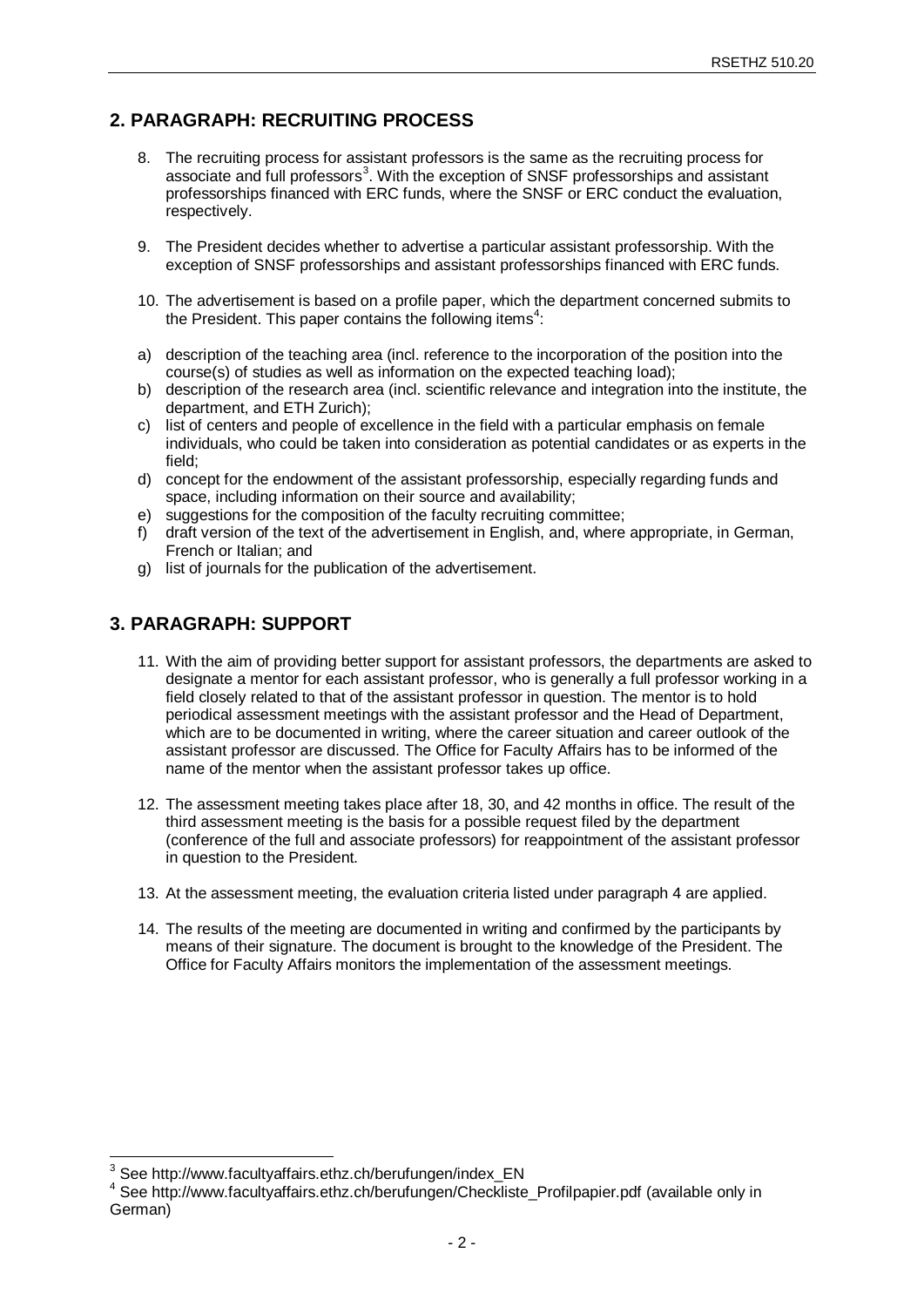# **2. PARAGRAPH: RECRUITING PROCESS**

- 8. The recruiting process for assistant professors is the same as the recruiting process for associate and full professors<sup>[3](#page-1-0)</sup>. With the exception of SNSF professorships and assistant professorships financed with ERC funds, where the SNSF or ERC conduct the evaluation, respectively.
- 9. The President decides whether to advertise a particular assistant professorship. With the exception of SNSF professorships and assistant professorships financed with ERC funds.
- 10. The advertisement is based on a profile paper, which the department concerned submits to the President. This paper contains the following items<sup>[4](#page-1-1)</sup>:
- a) description of the teaching area (incl. reference to the incorporation of the position into the course(s) of studies as well as information on the expected teaching load);
- b) description of the research area (incl. scientific relevance and integration into the institute, the department, and ETH Zurich);
- c) list of centers and people of excellence in the field with a particular emphasis on female individuals, who could be taken into consideration as potential candidates or as experts in the field;
- d) concept for the endowment of the assistant professorship, especially regarding funds and space, including information on their source and availability;
- e) suggestions for the composition of the faculty recruiting committee;
- f) draft version of the text of the advertisement in English, and, where appropriate, in German, French or Italian; and
- g) list of journals for the publication of the advertisement.

### **3. PARAGRAPH: SUPPORT**

- 11. With the aim of providing better support for assistant professors, the departments are asked to designate a mentor for each assistant professor, who is generally a full professor working in a field closely related to that of the assistant professor in question. The mentor is to hold periodical assessment meetings with the assistant professor and the Head of Department, which are to be documented in writing, where the career situation and career outlook of the assistant professor are discussed. The Office for Faculty Affairs has to be informed of the name of the mentor when the assistant professor takes up office.
- 12. The assessment meeting takes place after 18, 30, and 42 months in office. The result of the third assessment meeting is the basis for a possible request filed by the department (conference of the full and associate professors) for reappointment of the assistant professor in question to the President.
- 13. At the assessment meeting, the evaluation criteria listed under paragraph 4 are applied.
- 14. The results of the meeting are documented in writing and confirmed by the participants by means of their signature. The document is brought to the knowledge of the President. The Office for Faculty Affairs monitors the implementation of the assessment meetings.

<span id="page-1-1"></span><span id="page-1-0"></span><sup>&</sup>lt;sup>3</sup> See http://www.facultyaffairs.ethz.ch/berufungen/index\_EN<br><sup>4</sup> See http://www.facultyaffairs.ethz.ch/berufungen/Checkliste\_Profilpapier.pdf (available only in German)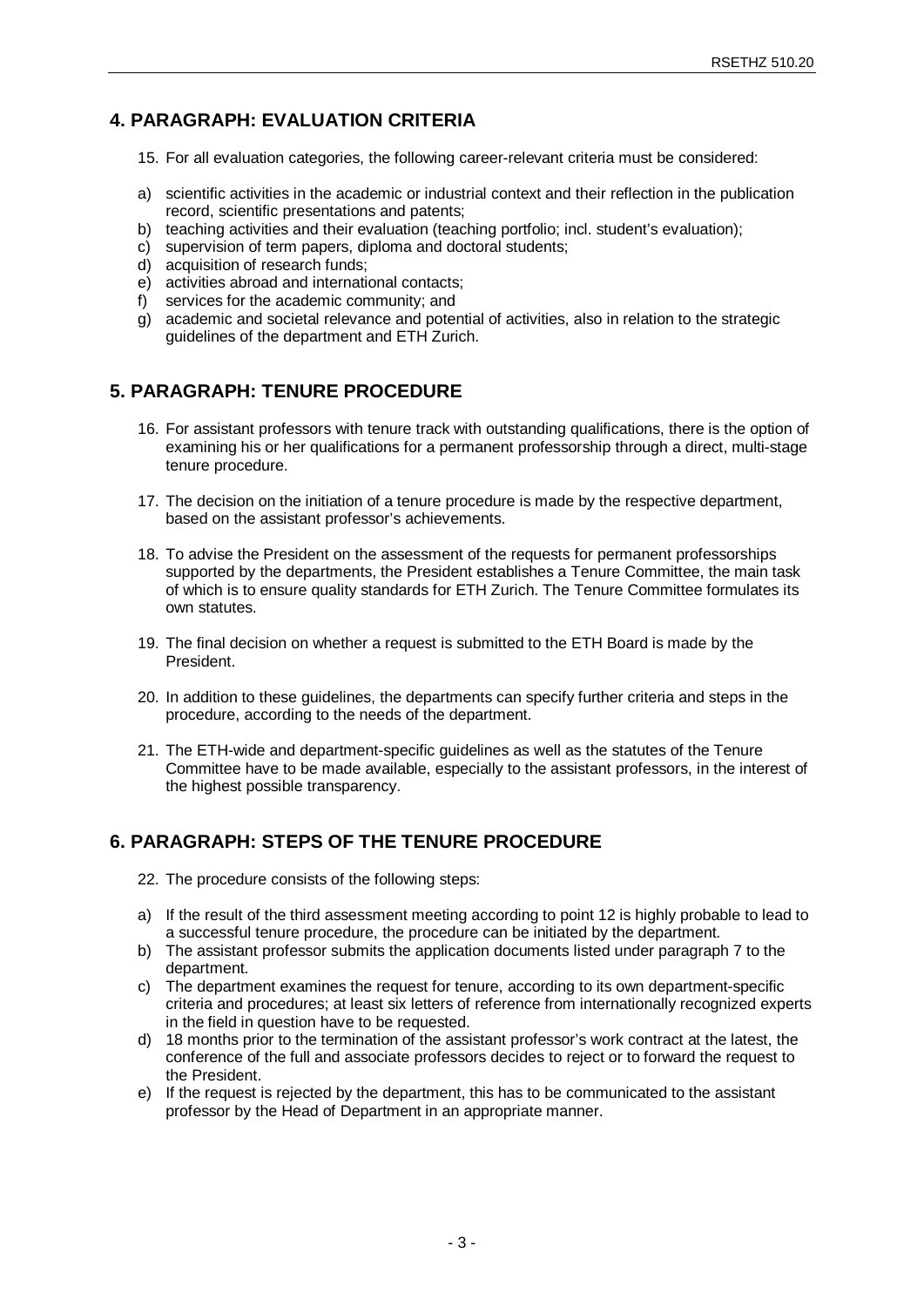# **4. PARAGRAPH: EVALUATION CRITERIA**

- 15. For all evaluation categories, the following career-relevant criteria must be considered:
- a) scientific activities in the academic or industrial context and their reflection in the publication record, scientific presentations and patents;
- b) teaching activities and their evaluation (teaching portfolio; incl. student's evaluation);
- c) supervision of term papers, diploma and doctoral students;
- d) acquisition of research funds;
- e) activities abroad and international contacts;
- f) services for the academic community; and
- g) academic and societal relevance and potential of activities, also in relation to the strategic guidelines of the department and ETH Zurich.

## **5. PARAGRAPH: TENURE PROCEDURE**

- 16. For assistant professors with tenure track with outstanding qualifications, there is the option of examining his or her qualifications for a permanent professorship through a direct, multi-stage tenure procedure.
- 17. The decision on the initiation of a tenure procedure is made by the respective department, based on the assistant professor's achievements.
- 18. To advise the President on the assessment of the requests for permanent professorships supported by the departments, the President establishes a Tenure Committee, the main task of which is to ensure quality standards for ETH Zurich. The Tenure Committee formulates its own statutes.
- 19. The final decision on whether a request is submitted to the ETH Board is made by the President.
- 20. In addition to these guidelines, the departments can specify further criteria and steps in the procedure, according to the needs of the department.
- 21. The ETH-wide and department-specific guidelines as well as the statutes of the Tenure Committee have to be made available, especially to the assistant professors, in the interest of the highest possible transparency.

# **6. PARAGRAPH: STEPS OF THE TENURE PROCEDURE**

22. The procedure consists of the following steps:

- a) If the result of the third assessment meeting according to point 12 is highly probable to lead to a successful tenure procedure, the procedure can be initiated by the department.
- b) The assistant professor submits the application documents listed under paragraph 7 to the department.
- c) The department examines the request for tenure, according to its own department-specific criteria and procedures; at least six letters of reference from internationally recognized experts in the field in question have to be requested.
- d) 18 months prior to the termination of the assistant professor's work contract at the latest, the conference of the full and associate professors decides to reject or to forward the request to the President.
- e) If the request is rejected by the department, this has to be communicated to the assistant professor by the Head of Department in an appropriate manner.